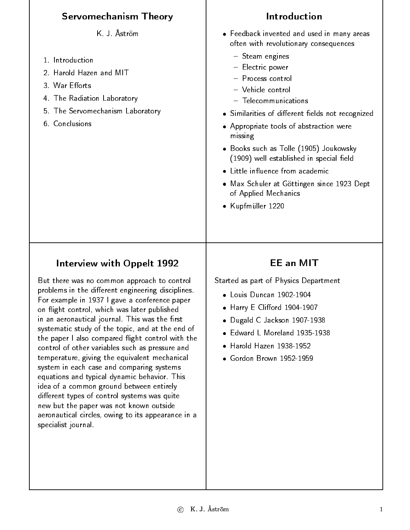| <b>Servomechanism Theory</b>                                                                                                                                                                                                                                                                                                                                                                                                                                                                                                                                                                                                                                                                                                                                                                                     | <b>Introduction</b>                                                                                                                                                                                                                                                                                                                                                                                                                                                                                                              |
|------------------------------------------------------------------------------------------------------------------------------------------------------------------------------------------------------------------------------------------------------------------------------------------------------------------------------------------------------------------------------------------------------------------------------------------------------------------------------------------------------------------------------------------------------------------------------------------------------------------------------------------------------------------------------------------------------------------------------------------------------------------------------------------------------------------|----------------------------------------------------------------------------------------------------------------------------------------------------------------------------------------------------------------------------------------------------------------------------------------------------------------------------------------------------------------------------------------------------------------------------------------------------------------------------------------------------------------------------------|
| K J Åström<br>1 Introduction<br>2. Harold Hazen and MIT<br>3 War Efforts<br>4 The Radiation Laboratory<br>5 The Servomechanism Laboratory<br>6 Conclusions                                                                                                                                                                                                                                                                                                                                                                                                                                                                                                                                                                                                                                                       | • Feedback invented and used in many areas<br>often with revolutionary consequences<br>$-$ Steam engines<br>- Electric power<br>- Process control<br>- Vehicle control<br>$-$ Telecommunications<br>• Similarities of different fields not recognized<br>• Appropriate tools of abstraction were<br>missing<br>• Books such as Tolle (1905) Joukowsky<br>(1909) well established in special field<br>• Little influence from academic<br>• Max Schuler at Göttingen since 1923 Dept<br>of Applied Mechanics<br>• Kupfmüller 1220 |
| Interview with Oppelt 1992<br>But there was no common approach to control<br>problems in the different engineering disciplines.<br>For example in 1937 I gave a conference paper<br>on flight control, which was later published<br>in an aeronautical journal. This was the first<br>systematic study of the topic, and at the end of<br>the paper I also compared flight control with the<br>control of other variables such as pressure and<br>temperature, giving the equivalent mechanical<br>system in each case and comparing systems<br>equations and typical dynamic behavior. This<br>idea of a common ground between entirely<br>different types of control systems was quite<br>new but the paper was not known outside<br>aeronautical circles, owing to its appearance in a<br>specialist journal. | <b>EE an MIT</b><br>Started as part of Physics Department<br>• Louis Duncan 1902-1904<br>• Harry E Clifford 1904-1907<br>Dugald C Jackson 1907-1938<br>• Edward L Moreland 1935-1938<br>Harold Hazen 1938-1952<br>• Gordon Brown 1952-1959                                                                                                                                                                                                                                                                                       |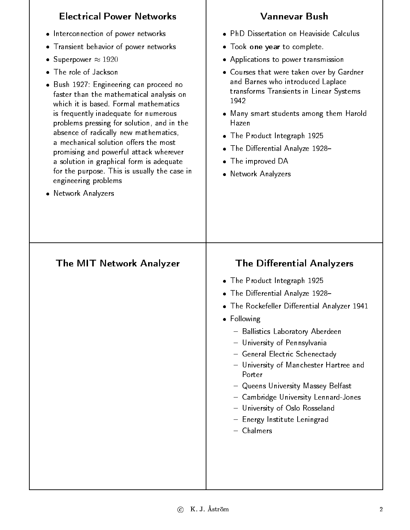| <b>Electrical Power Networks</b>                                                                                                                                                                                                                                                                                                                                                                                                                                                                                                         | <b>Vannevar Bush</b>                                                                                                                                                                                                                                                                                                   |
|------------------------------------------------------------------------------------------------------------------------------------------------------------------------------------------------------------------------------------------------------------------------------------------------------------------------------------------------------------------------------------------------------------------------------------------------------------------------------------------------------------------------------------------|------------------------------------------------------------------------------------------------------------------------------------------------------------------------------------------------------------------------------------------------------------------------------------------------------------------------|
| Interconnection of power networks<br>$\bullet$                                                                                                                                                                                                                                                                                                                                                                                                                                                                                           | · PhD Dissertation on Heaviside Calculus                                                                                                                                                                                                                                                                               |
| Transient behavior of power networks<br>$\bullet$                                                                                                                                                                                                                                                                                                                                                                                                                                                                                        | • Took one year to complete.                                                                                                                                                                                                                                                                                           |
| Superpower $\approx 1920$<br>۰                                                                                                                                                                                                                                                                                                                                                                                                                                                                                                           | • Applications to power transmission                                                                                                                                                                                                                                                                                   |
| The role of Jackson<br>$\bullet$<br>• Bush 1927: Engineering can proceed no<br>faster than the mathematical analysis on<br>which it is based Formal mathematics<br>is frequently inadequate for numerous<br>problems pressing for solution, and in the<br>absence of radically new mathematics,<br>a mechanical solution offers the most<br>promising and powerful attack wherever<br>a solution in graphical form is adequate<br>for the purpose. This is usually the case in<br>engineering problems<br>Network Analyzers<br>$\bullet$ | • Courses that were taken over by Gardner<br>and Barnes who introduced Laplace<br>transforms Transients in Linear Systems<br>1942<br>• Many smart students among them Harold<br>Hazen<br>• The Product Integraph 1925<br>• The Differential Analyze 1928–<br>$\bullet$ The improved DA<br>• Network Analyzers          |
| <b>The MIT Network Analyzer</b>                                                                                                                                                                                                                                                                                                                                                                                                                                                                                                          | <b>The Differential Analyzers</b>                                                                                                                                                                                                                                                                                      |
|                                                                                                                                                                                                                                                                                                                                                                                                                                                                                                                                          | • The Product Integraph 1925                                                                                                                                                                                                                                                                                           |
|                                                                                                                                                                                                                                                                                                                                                                                                                                                                                                                                          | • The Differential Analyze 1928-                                                                                                                                                                                                                                                                                       |
|                                                                                                                                                                                                                                                                                                                                                                                                                                                                                                                                          | • The Rockefeller Differential Analyzer 1941                                                                                                                                                                                                                                                                           |
|                                                                                                                                                                                                                                                                                                                                                                                                                                                                                                                                          | • Following                                                                                                                                                                                                                                                                                                            |
|                                                                                                                                                                                                                                                                                                                                                                                                                                                                                                                                          | - Ballistics Laboratory Aberdeen<br>- University of Pennsylvania<br>- General Electric Schenectady<br>- University of Manchester Hartree and<br>Porter<br>- Queens University Massey Belfast<br>- Cambridge University Lennard-Jones<br>- University of Oslo Rosseland<br>- Energy Institute Leningrad<br>$-$ Chalmers |
|                                                                                                                                                                                                                                                                                                                                                                                                                                                                                                                                          |                                                                                                                                                                                                                                                                                                                        |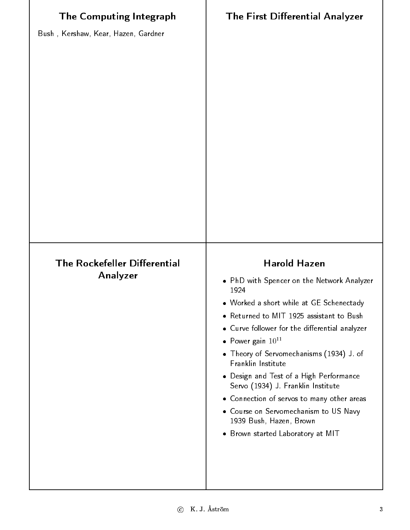| <b>The Computing Integraph</b><br>Bush, Kershaw, Kear, Hazen, Gardner | <b>The First Differential Analyzer</b>                                                                                                                                                                                                                                                                                                                                                                                                                                                                                                                 |
|-----------------------------------------------------------------------|--------------------------------------------------------------------------------------------------------------------------------------------------------------------------------------------------------------------------------------------------------------------------------------------------------------------------------------------------------------------------------------------------------------------------------------------------------------------------------------------------------------------------------------------------------|
| <b>The Rockefeller Differential</b><br>Analyzer                       | <b>Harold Hazen</b><br>• PhD with Spencer on the Network Analyzer<br>1924<br>. Worked a short while at GE Schenectady<br>• Returned to MIT 1925 assistant to Bush<br>• Curve follower for the differential analyzer<br>• Power gain $10^{11}$<br>• Theory of Servomechanisms (1934) J of<br>Franklin Institute<br>• Design and Test of a High Performance<br>Servo (1934) J. Franklin Institute<br>• Connection of servos to many other areas<br>• Course on Servomechanism to US Navy<br>1939 Bush, Hazen, Brown<br>• Brown started Laboratory at MIT |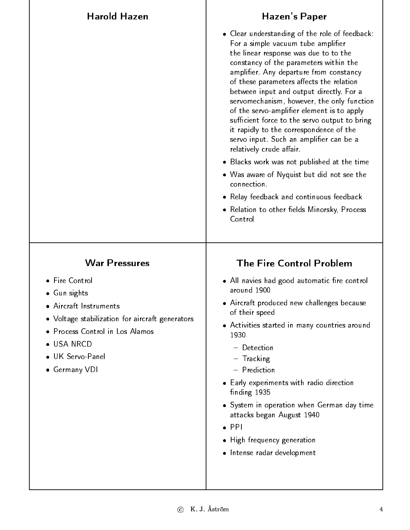| <b>Harold Hazen</b>                                                                | Hazen's Paper                                                                                                                                                                                                                                                                                                                                                                                                                                                                                                                                                             |
|------------------------------------------------------------------------------------|---------------------------------------------------------------------------------------------------------------------------------------------------------------------------------------------------------------------------------------------------------------------------------------------------------------------------------------------------------------------------------------------------------------------------------------------------------------------------------------------------------------------------------------------------------------------------|
|                                                                                    | • Clear understanding of the role of feedback:<br>For a simple vacuum tube amplifier<br>the linear response was due to to the<br>constancy of the parameters within the<br>amplifier. Any departure from constancy<br>of these parameters affects the relation<br>between input and output directly. For a<br>servomechanism, however, the only function<br>of the servo-amplifier element is to apply<br>sufficient force to the servo output to bring<br>it rapidly to the correspondence of the<br>servo input. Such an amplifier can be a<br>relatively crude affair. |
|                                                                                    | • Blacks work was not published at the time                                                                                                                                                                                                                                                                                                                                                                                                                                                                                                                               |
|                                                                                    | • Was aware of Nyquist but did not see the<br>connection.                                                                                                                                                                                                                                                                                                                                                                                                                                                                                                                 |
|                                                                                    | • Relay feedback and continuous feedback                                                                                                                                                                                                                                                                                                                                                                                                                                                                                                                                  |
|                                                                                    | • Relation to other fields Minorsky, Process<br>Control                                                                                                                                                                                                                                                                                                                                                                                                                                                                                                                   |
| <b>War Pressures</b>                                                               | <b>The Fire Control Problem</b>                                                                                                                                                                                                                                                                                                                                                                                                                                                                                                                                           |
| • Fire Control<br>• Gun sights<br>· Aircraft Instruments                           | • All navies had good automatic fire control<br>around 1900                                                                                                                                                                                                                                                                                                                                                                                                                                                                                                               |
|                                                                                    | • Aircraft produced new challenges because<br>of their speed                                                                                                                                                                                                                                                                                                                                                                                                                                                                                                              |
| • Voltage stabilization for aircraft generators<br>· Process Control in Los Alamos | • Activities started in many countries around<br>1930                                                                                                                                                                                                                                                                                                                                                                                                                                                                                                                     |
| • USA NRCD<br>• UK Servo-Panel<br>• Germany VDI                                    | - Detection<br>- Tracking<br>- Prediction                                                                                                                                                                                                                                                                                                                                                                                                                                                                                                                                 |
|                                                                                    | • Early experiments with radio direction<br>finding 1935                                                                                                                                                                                                                                                                                                                                                                                                                                                                                                                  |
|                                                                                    | • System in operation when German day time<br>attacks began August 1940                                                                                                                                                                                                                                                                                                                                                                                                                                                                                                   |
|                                                                                    | $\bullet$ PPI                                                                                                                                                                                                                                                                                                                                                                                                                                                                                                                                                             |
|                                                                                    | • High frequency generation                                                                                                                                                                                                                                                                                                                                                                                                                                                                                                                                               |
|                                                                                    | • Intense radar development                                                                                                                                                                                                                                                                                                                                                                                                                                                                                                                                               |
|                                                                                    |                                                                                                                                                                                                                                                                                                                                                                                                                                                                                                                                                                           |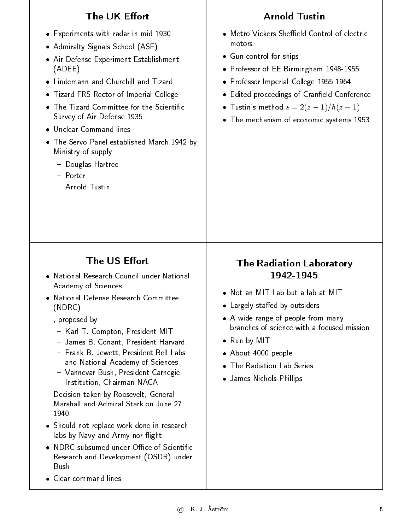## **The UK Effort Arnold Tustin** • Metro Vickers Sheffield Control of electric Experiments with radar in mid 1930 motors Admiralty Signals School (ASE) Gun control for ships ships and show that the ships of the ships of the ships of the ships of the ships of the Air Defense Experiment Establishment (ADEE) Professor of EE Birmingham 1948-1955 Lindemann and Churchill and Tizard Professor Imperial College 1955-1964 • Tizard FRS Rector of Imperial College Tizard Frase Rector of Imperial College Rector of Imperial College Rector of Imperial College Rector of Imperial College Rector of Imperial College Rector of Imperial College Rector of Imperial College Rector of Imperial C Edited proceedings of Craneld Conference  $\bullet$  Tustin's method  $s = 2(z - 1)/h(z + 1)$ Survey of Air Defense 1935 The mechanism of economic systems 1953 Unclear Command lines The Servo Panel established March 1942 by Ministry of supply Douglas Hartree - Porter - Arnold Tustin The US Effort The Radiation Laboratory 1942-1945 Academy of Sciences • Not an MIT Lab but a lab at MIT • National Defense Research Committee (NDRC) Largely staed by outsiders , proposed by A wide range of people from many branches of science with a focused mission - Karl T. Compton, President MIT James B. Conant, President Harvard Run by Mitchell and Mitchell and Mitchell and Mitchell and Mitchell and Mitchell and Mitchell and Mitchell and  $-$  Frank B. Jewett, President Bell Labs About 4000 people and National Academy of Sciences • The Radiation Lab Series Vannevar Bush, President Carnegie Institution, Chairman NACA James Nichols Phillips Decision taken by Roosevelt, General Marshall and Admiral Stark on June 27 1940 Should not replace work done in research labs by Navy and Army nor flight Research and Development (OSDR) under Bush • Clear command lines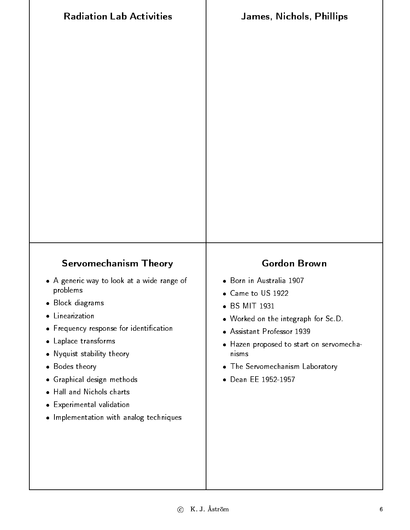| <b>Radiation Lab Activities</b>                                                                                                                                                                                                                                                                                                                                                                         | <b>James, Nichols, Phillips</b>                                                                                                                                                                                                                                                     |
|---------------------------------------------------------------------------------------------------------------------------------------------------------------------------------------------------------------------------------------------------------------------------------------------------------------------------------------------------------------------------------------------------------|-------------------------------------------------------------------------------------------------------------------------------------------------------------------------------------------------------------------------------------------------------------------------------------|
|                                                                                                                                                                                                                                                                                                                                                                                                         |                                                                                                                                                                                                                                                                                     |
| <b>Servomechanism Theory</b><br>• A generic way to look at a wide range of<br>problems<br>· Block diagrams<br>• Linearization<br>• Frequency response for identification<br>Laplace transforms<br>۰<br>Nyquist stability theory<br>۰<br>• Bodes theory<br>Graphical design methods<br>$\bullet$<br>Hall and Nichols charts<br>۰<br>• Experimental validation<br>. Implementation with analog techniques | <b>Gordon Brown</b><br>· Born in Australia 1907<br>• Came to US 1922<br>• BS MIT 1931<br>• Worked on the integraph for Sc D<br>Assistant Professor 1939<br>$\bullet$<br>• Hazen proposed to start on servomecha-<br>nisms<br>• The Servomechanism Laboratory<br>• Dean EE 1952-1957 |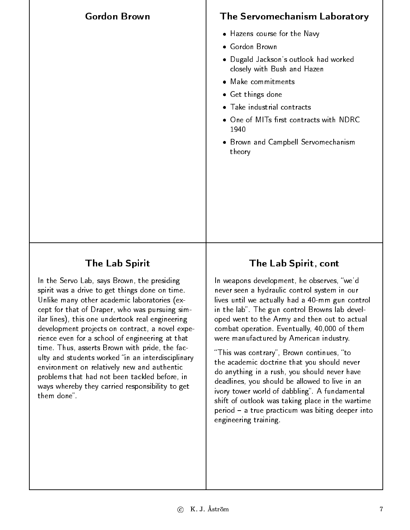## The Servomechanism Laboratory

- Hazens course for the Navy
- 
- Dugald Jackson's outlook had worked closely with Bush and Hazen
- Make commitments
- Get things done
- 
- One of MITs first contracts with NDRC 1940
- Brown and Campbell Servomechanism theory

## The Lab Spirit

**Gordon Brown** 

In the Servo Lab, says Brown, the presiding spirit was a drive to get things done on time. Unlike many other academic laboratories (except for that of Draper, who was pursuing similar lines), this one undertook real engineering development projects on contract, a novel experience even for a school of engineering at that time. Thus, asserts Brown with pride, the faculty and students worked "in an interdisciplinary environment on relatively new and authentic problems that had not been tackled before, in ways whereby they carried responsibility to get them done"

## The Lab Spirit, cont

In weapons development, he observes, "we'd never seen a hydraulic control system in our lives until we actually had a 40-mm gun control in the lab". The gun control Browns lab developed went to the Army and then out to actual combat operation. Eventually, 40,000 of them were manufactured by American industry.

"This was contrary", Brown continues, "to the academic doctrine that you should never do anything in a rush, you should never have deadlines, you should be allowed to live in an ivory tower world of dabbling". A fundamental shift of outlook was taking place in the wartime  $period - a true$  practicum was biting deeper into engineering training.